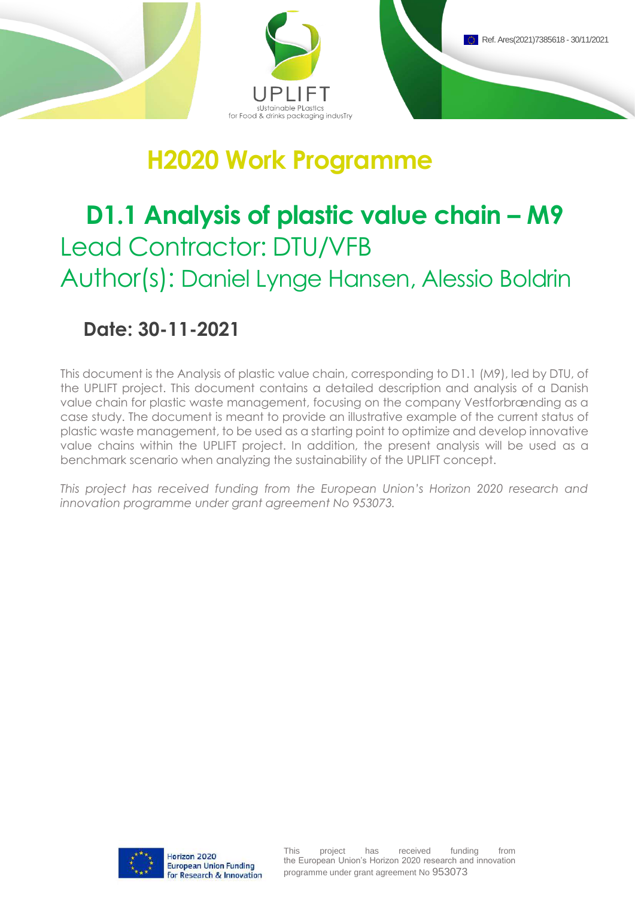

## **H2020 Work Programme**

# **D1.1 Analysis of plastic value chain – M9** Lead Contractor: DTU/VFB Author(s): Daniel Lynge Hansen, Alessio Boldrin

### **Date: 30-11-2021**

This document is the Analysis of plastic value chain, corresponding to D1.1 (M9), led by DTU, of the UPLIFT project. This document contains a detailed description and analysis of a Danish value chain for plastic waste management, focusing on the company Vestforbrænding as a case study. The document is meant to provide an illustrative example of the current status of plastic waste management, to be used as a starting point to optimize and develop innovative value chains within the UPLIFT project. In addition, the present analysis will be used as a benchmark scenario when analyzing the sustainability of the UPLIFT concept.

*This project has received funding from the European Union's Horizon 2020 research and innovation programme under grant agreement No 953073.* 

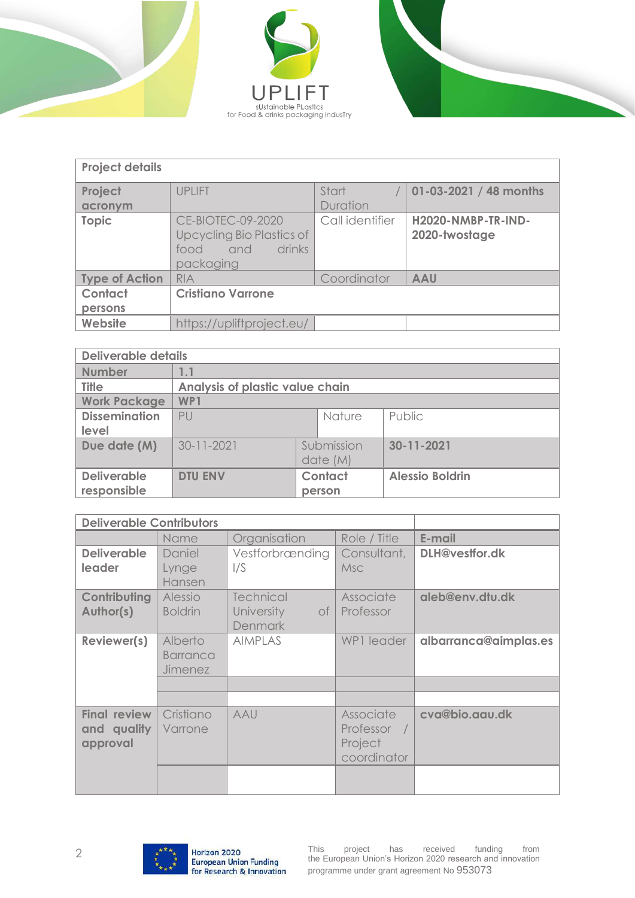





| <b>Project details</b> |                                                                                      |                   |                                     |  |
|------------------------|--------------------------------------------------------------------------------------|-------------------|-------------------------------------|--|
| Project<br>acronym     | <b>UPLIFT</b>                                                                        | Start<br>Duration | 01-03-2021 / 48 months              |  |
| <b>Topic</b>           | CE-BIOTEC-09-2020<br>Upcycling Bio Plastics of<br>drinks<br>and<br>food<br>packaging | Call identifier   | H2020-NMBP-TR-IND-<br>2020-twostage |  |
| <b>Type of Action</b>  | <b>RIA</b>                                                                           | Coordinator       | <b>AAU</b>                          |  |
| Contact                | <b>Cristiano Varrone</b>                                                             |                   |                                     |  |
| persons                |                                                                                      |                   |                                     |  |
| Website                | https://upliftproject.eu/                                                            |                   |                                     |  |

| <b>Deliverable details</b> |                                 |          |            |                        |
|----------------------------|---------------------------------|----------|------------|------------------------|
| <b>Number</b>              | 1.1                             |          |            |                        |
| <b>Title</b>               | Analysis of plastic value chain |          |            |                        |
| <b>Work Package</b>        | WP1                             |          |            |                        |
| <b>Dissemination</b>       | Nature<br>P                     |          | Public     |                        |
| level                      |                                 |          |            |                        |
| Due date (M)               | $30 - 11 - 2021$                |          | Submission | 30-11-2021             |
|                            |                                 | date (M) |            |                        |
| <b>Deliverable</b>         | <b>DTU ENV</b>                  | Contact  |            | <b>Alessio Boldrin</b> |
| responsible                |                                 |          | person     |                        |

| <b>Deliverable Contributors</b>                |                                              |                                                               |                                                    |                       |
|------------------------------------------------|----------------------------------------------|---------------------------------------------------------------|----------------------------------------------------|-----------------------|
|                                                | Name                                         | Organisation                                                  | Role / Title                                       | E-mail                |
| <b>Deliverable</b><br>leader                   | Daniel<br>Lynge<br>Hansen                    | Vestforbrænding<br>1/S                                        | Consultant,<br><b>Msc</b>                          | DLH@vestfor.dk        |
| Contributing<br>Author(s)                      | Alessio<br><b>Boldrin</b>                    | <b>Technical</b><br><b>University</b><br>of<br><b>Denmark</b> | Associate<br>Professor                             | aleb@env.dtu.dk       |
| Reviewer(s)                                    | Alberto<br><b>Barranca</b><br><b>Jimenez</b> | <b>AIMPLAS</b>                                                | WP1 leader                                         | albarranca@aimplas.es |
|                                                |                                              |                                                               |                                                    |                       |
| <b>Final review</b><br>and quality<br>approval | Cristiano<br>Varrone                         | AAU                                                           | Associate<br>Professor /<br>Project<br>coordinator | cva@bio.aau.dk        |
|                                                |                                              |                                                               |                                                    |                       |

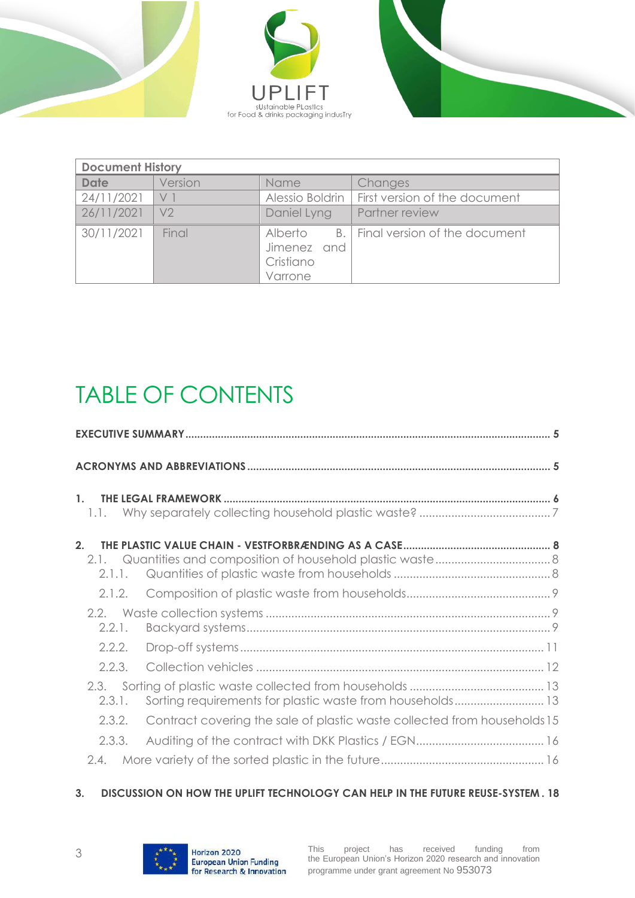





| <b>Document History</b> |         |                                                |                                    |  |
|-------------------------|---------|------------------------------------------------|------------------------------------|--|
| <b>Date</b>             | Version | <b>Name</b>                                    | Changes                            |  |
| 24/11/2021              | V 1     | Alessio Boldrin                                | First version of the document      |  |
| 26/11/2021              | V2      | Daniel Lyng                                    | Partner review                     |  |
| 30/11/2021              | Final   | Alberto<br>Jimenez and<br>Cristiano<br>Varrone | B.   Final version of the document |  |

## TABLE OF CONTENTS

| 1.1.                     |                                                                          |  |
|--------------------------|--------------------------------------------------------------------------|--|
| $\mathfrak{D}$<br>2.1.1. |                                                                          |  |
| 2.1.2.                   |                                                                          |  |
| 2.2.1.                   |                                                                          |  |
| 2.2.2.                   |                                                                          |  |
| 2.2.3.                   |                                                                          |  |
| 2.3.<br>2.3.1.           | Sorting requirements for plastic waste from households 13                |  |
| 2.3.2.                   | Contract covering the sale of plastic waste collected from households 15 |  |
| 2.3.3.                   |                                                                          |  |
| 2.4.                     |                                                                          |  |

#### **3. [DISCUSSION ON HOW THE UPLIFT TECHNOLOGY CAN HELP IN THE FUTURE REUSE-SYSTEM](#page-17-0) . 18**

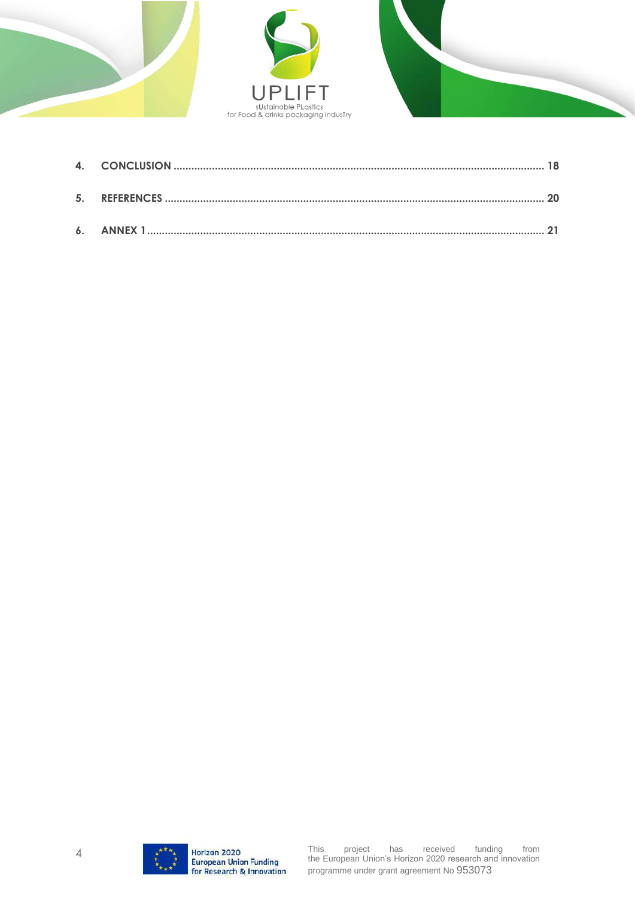



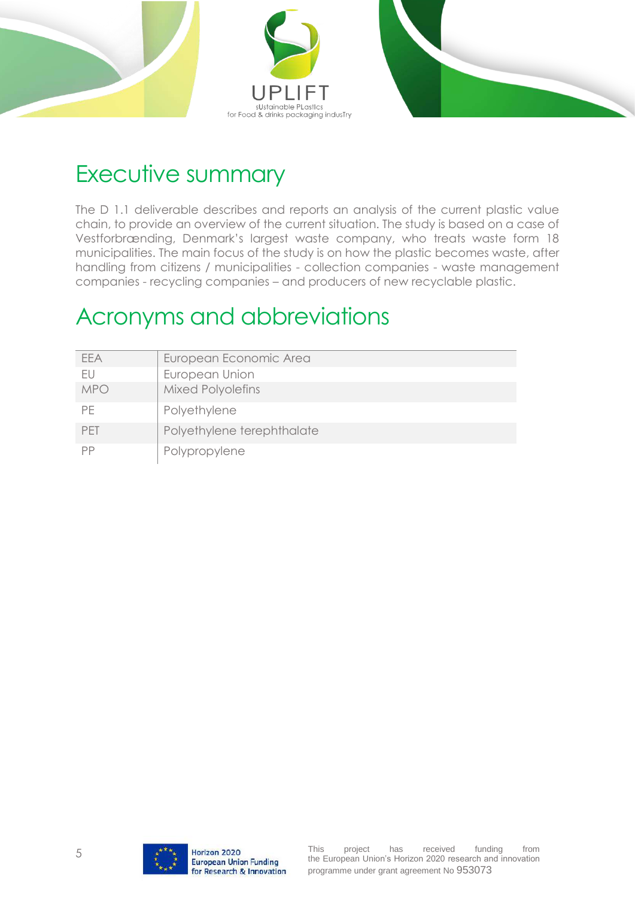



### <span id="page-4-0"></span>Executive summary

The D 1.1 deliverable describes and reports an analysis of the current plastic value chain, to provide an overview of the current situation. The study is based on a case of Vestforbrænding, Denmark's largest waste company, who treats waste form 18 municipalities. The main focus of the study is on how the plastic becomes waste, after handling from citizens / municipalities - collection companies - waste management companies - recycling companies – and producers of new recyclable plastic.

### <span id="page-4-1"></span>Acronyms and abbreviations

| FFA        | European Economic Area     |
|------------|----------------------------|
| FU         | European Union             |
| <b>MPO</b> | <b>Mixed Polyolefins</b>   |
| PF.        | Polyethylene               |
| <b>PFT</b> | Polyethylene terephthalate |
| РP         | Polypropylene              |

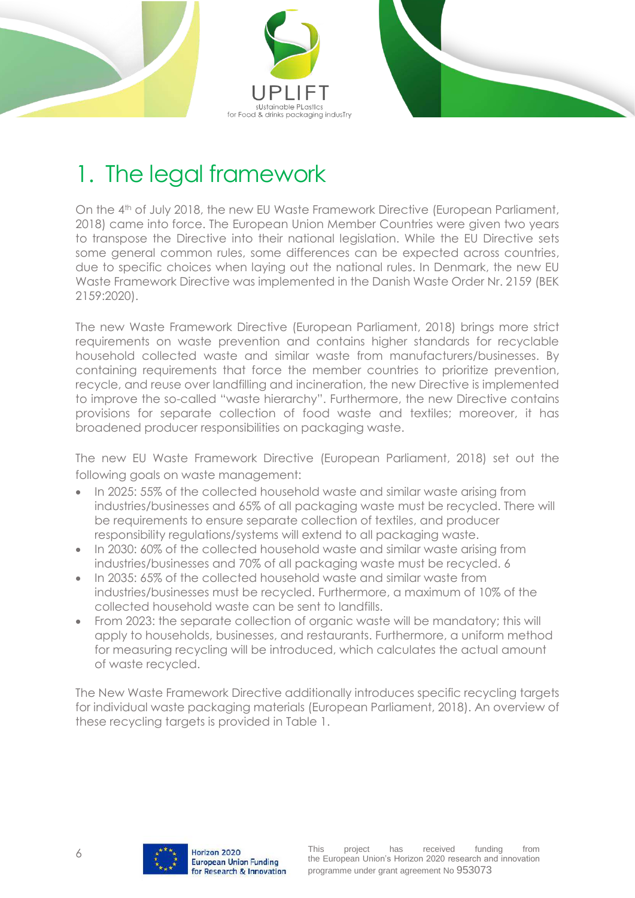



## <span id="page-5-0"></span>1. The legal framework

On the 4<sup>th</sup> of July 2018, the new EU Waste Framework Directive (European Parliament, 2018) came into force. The European Union Member Countries were given two years to transpose the Directive into their national legislation. While the EU Directive sets some general common rules, some differences can be expected across countries, due to specific choices when laying out the national rules. In Denmark, the new EU Waste Framework Directive was implemented in the Danish Waste Order Nr. 2159 (BEK 2159:2020).

The new Waste Framework Directive (European Parliament, 2018) brings more strict requirements on waste prevention and contains higher standards for recyclable household collected waste and similar waste from manufacturers/businesses. By containing requirements that force the member countries to prioritize prevention, recycle, and reuse over landfilling and incineration, the new Directive is implemented to improve the so-called "waste hierarchy". Furthermore, the new Directive contains provisions for separate collection of food waste and textiles; moreover, it has broadened producer responsibilities on packaging waste.

The new EU Waste Framework Directive (European Parliament, 2018) set out the following goals on waste management:

- In 2025: 55% of the collected household waste and similar waste arising from industries/businesses and 65% of all packaging waste must be recycled. There will be requirements to ensure separate collection of textiles, and producer responsibility regulations/systems will extend to all packaging waste.
- In 2030: 60% of the collected household waste and similar waste arising from industries/businesses and 70% of all packaging waste must be recycled. 6
- In 2035: 65% of the collected household waste and similar waste from industries/businesses must be recycled. Furthermore, a maximum of 10% of the collected household waste can be sent to landfills.
- From 2023: the separate collection of organic waste will be mandatory; this will apply to households, businesses, and restaurants. Furthermore, a uniform method for measuring recycling will be introduced, which calculates the actual amount of waste recycled.

The New Waste Framework Directive additionally introduces specific recycling targets for individual waste packaging materials (European Parliament, 2018). An overview of these recycling targets is provided in [Table 1.](#page-6-1)

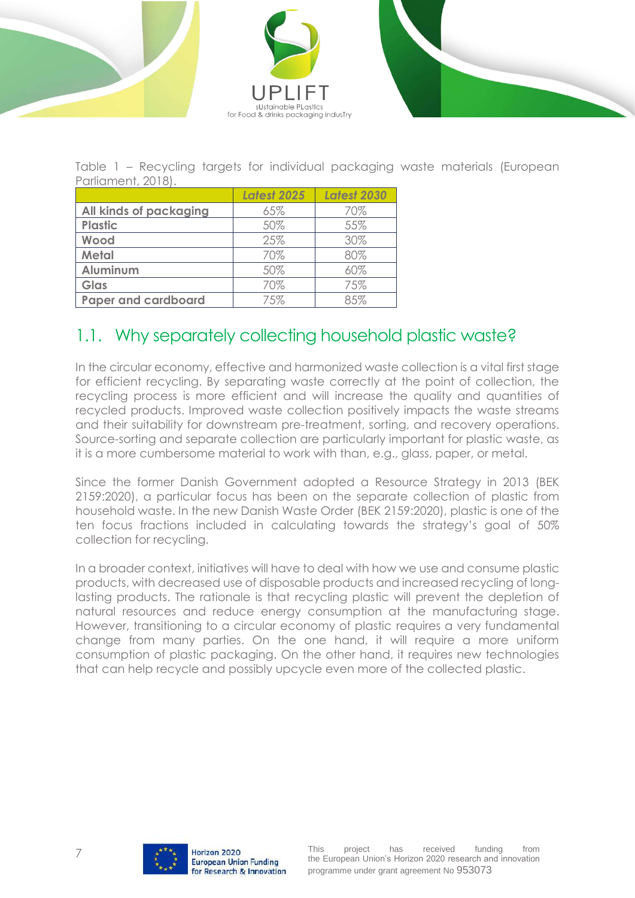



<span id="page-6-1"></span>Table 1 – Recycling targets for individual packaging waste materials (European Parliament, 2018).

|                            | <b>Latest 2025</b> | <b>Latest 2030</b> |
|----------------------------|--------------------|--------------------|
| All kinds of packaging     | 65%                | 70%                |
| <b>Plastic</b>             | 50%                | 55%                |
| Wood                       | 25%                | 30%                |
| <b>Metal</b>               | 70%                | 80%                |
| <b>Aluminum</b>            | 50%                | 60%                |
| Glas                       | 70%                | 75%                |
| <b>Paper and cardboard</b> | 75%                | 8.5%               |

### <span id="page-6-0"></span>1.1. Why separately collecting household plastic waste?

In the circular economy, effective and harmonized waste collection is a vital first stage for efficient recycling. By separating waste correctly at the point of collection, the recycling process is more efficient and will increase the quality and quantities of recycled products. Improved waste collection positively impacts the waste streams and their suitability for downstream pre-treatment, sorting, and recovery operations. Source-sorting and separate collection are particularly important for plastic waste, as it is a more cumbersome material to work with than, e.g., glass, paper, or metal.

Since the former Danish Government adopted a Resource Strategy in 2013 (BEK 2159:2020), a particular focus has been on the separate collection of plastic from household waste. In the new Danish Waste Order (BEK 2159:2020), plastic is one of the ten focus fractions included in calculating towards the strategy's goal of 50% collection for recycling.

In a broader context, initiatives will have to deal with how we use and consume plastic products, with decreased use of disposable products and increased recycling of longlasting products. The rationale is that recycling plastic will prevent the depletion of natural resources and reduce energy consumption at the manufacturing stage. However, transitioning to a circular economy of plastic requires a very fundamental change from many parties. On the one hand, it will require a more uniform consumption of plastic packaging. On the other hand, it requires new technologies that can help recycle and possibly upcycle even more of the collected plastic.

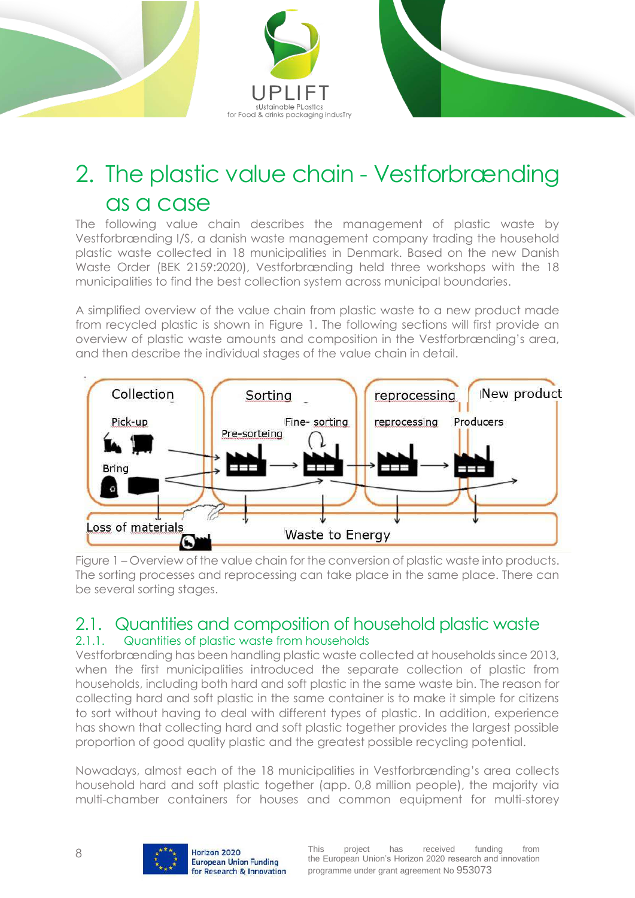

### <span id="page-7-0"></span>2. The plastic value chain - Vestforbrænding as a case

The following value chain describes the management of plastic waste by Vestforbrænding I/S, a danish waste management company trading the household plastic waste collected in 18 municipalities in Denmark. Based on the new Danish Waste Order (BEK 2159:2020), Vestforbrænding held three workshops with the 18 municipalities to find the best collection system across municipal boundaries.

A simplified overview of the value chain from plastic waste to a new product made from recycled plastic is shown in [Figure 1.](#page-7-3) The following sections will first provide an overview of plastic waste amounts and composition in the Vestforbrænding's area, and then describe the individual stages of the value chain in detail.



<span id="page-7-3"></span>Figure 1 – Overview of the value chain for the conversion of plastic waste into products. The sorting processes and reprocessing can take place in the same place. There can be several sorting stages.

#### <span id="page-7-1"></span>2.1. Quantities and composition of household plastic waste 2.1.1. Quantities of plastic waste from households

<span id="page-7-2"></span>Vestforbrænding has been handling plastic waste collected at households since 2013, when the first municipalities introduced the separate collection of plastic from households, including both hard and soft plastic in the same waste bin. The reason for collecting hard and soft plastic in the same container is to make it simple for citizens to sort without having to deal with different types of plastic. In addition, experience has shown that collecting hard and soft plastic together provides the largest possible proportion of good quality plastic and the greatest possible recycling potential.

Nowadays, almost each of the 18 municipalities in Vestforbrænding's area collects household hard and soft plastic together (app. 0,8 million people), the majority via multi-chamber containers for houses and common equipment for multi-storey

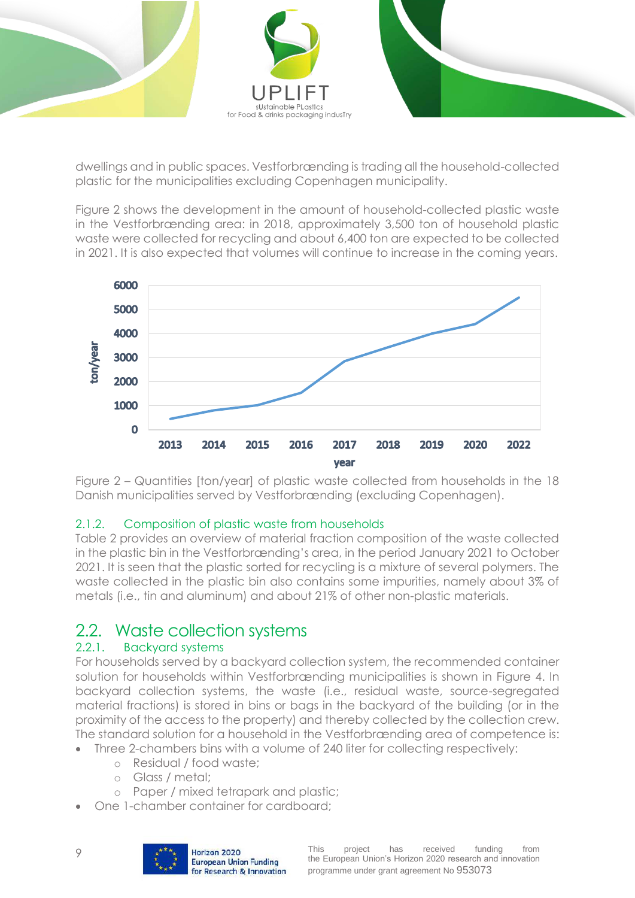

dwellings and in public spaces. Vestforbrænding is trading all the household-collected plastic for the municipalities excluding Copenhagen municipality.

[Figure 2](#page-8-3) shows the development in the amount of household-collected plastic waste in the Vestforbrænding area: in 2018, approximately 3,500 ton of household plastic waste were collected for recycling and about 6,400 ton are expected to be collected in 2021. It is also expected that volumes will continue to increase in the coming years.



<span id="page-8-3"></span>Figure 2 – Quantities [ton/year] of plastic waste collected from households in the 18 Danish municipalities served by Vestforbrænding (excluding Copenhagen).

#### <span id="page-8-0"></span>2.1.2. Composition of plastic waste from households

[Table 2](#page-9-0) provides an overview of material fraction composition of the waste collected in the plastic bin in the Vestforbrænding's area, in the period January 2021 to October 2021. It is seen that the plastic sorted for recycling is a mixture of several polymers. The waste collected in the plastic bin also contains some impurities, namely about 3% of metals (i.e., tin and aluminum) and about 21% of other non-plastic materials.

### <span id="page-8-1"></span>2.2. Waste collection systems

#### <span id="page-8-2"></span>2.2.1. Backyard systems

For households served by a backyard collection system, the recommended container solution for households within Vestforbrænding municipalities is shown in [Figure 4.](#page-10-1) In backyard collection systems, the waste (i.e., residual waste, source-segregated material fractions) is stored in bins or bags in the backyard of the building (or in the proximity of the access to the property) and thereby collected by the collection crew. The standard solution for a household in the Vestforbrænding area of competence is:

- Three 2-chambers bins with a volume of 240 liter for collecting respectively:
	- o Residual / food waste;
	- o Glass / metal;
	- o Paper / mixed tetrapark and plastic;
- One 1-chamber container for cardboard;

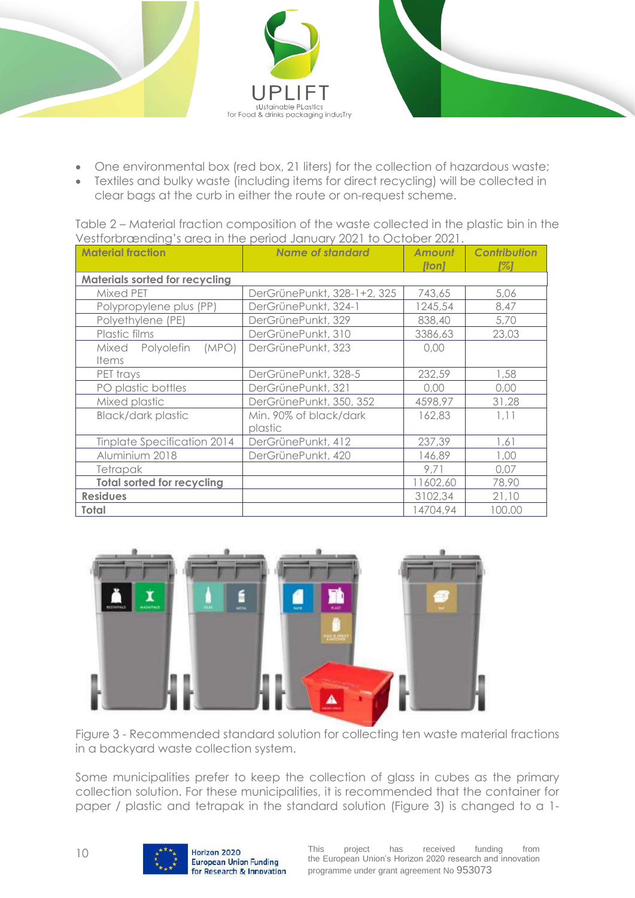



- One environmental box (red box, 21 liters) for the collection of hazardous waste;
- Textiles and bulky waste (including items for direct recycling) will be collected in clear bags at the curb in either the route or on-request scheme.

<span id="page-9-0"></span>Table 2 – Material fraction composition of the waste collected in the plastic bin in the Vestforbrænding's area in the period January 2021 to October 2021.

| <b>Material fraction</b>              | <b>Name of standard</b>     | <b>Amount</b><br>[ton] | <b>Contribution</b><br>1%1 |
|---------------------------------------|-----------------------------|------------------------|----------------------------|
| <b>Materials sorted for recycling</b> |                             |                        |                            |
| Mixed PET                             | DerGrünePunkt, 328-1+2, 325 | 743,65                 | 5,06                       |
| Polypropylene plus (PP)               | DerGrünePunkt, 324-1        | 1245,54                | 8,47                       |
| Polyethylene (PE)                     | DerGrünePunkt, 329          | 838,40                 | 5,70                       |
| Plastic films                         | DerGrünePunkt, 310          | 3386,63                | 23,03                      |
| Mixed Polyolefin<br>(MPO)             | DerGrünePunkt, 323          | 0,00                   |                            |
| <b>Items</b>                          |                             |                        |                            |
| PET trays                             | DerGrünePunkt, 328-5        | 232,59                 | 1,58                       |
| PO plastic bottles                    | DerGrünePunkt, 321          | 0,00                   | 0,00                       |
| Mixed plastic                         | DerGrünePunkt, 350, 352     | 4598,97                | 31,28                      |
| <b>Black/dark plastic</b>             | Min. 90% of black/dark      | 162,83                 | 1,11                       |
|                                       | plastic                     |                        |                            |
| Tinplate Specification 2014           | DerGrünePunkt, 412          | 237,39                 | 1,61                       |
| Aluminium 2018                        | DerGrünePunkt, 420          | 146,89                 | 1,00                       |
| Tetrapak                              |                             | 9,71                   | 0,07                       |
| <b>Total sorted for recycling</b>     |                             | 11602,60               | 78,90                      |
| <b>Residues</b>                       |                             | 3102,34                | 21,10                      |
| <b>Total</b>                          |                             | 14704,94               | 100.00                     |



<span id="page-9-1"></span>Figure 3 - Recommended standard solution for collecting ten waste material fractions in a backyard waste collection system.

Some municipalities prefer to keep the collection of glass in cubes as the primary collection solution. For these municipalities, it is recommended that the container for paper / plastic and tetrapak in the standard solution [\(Figure 3\)](#page-9-1) is changed to a 1-

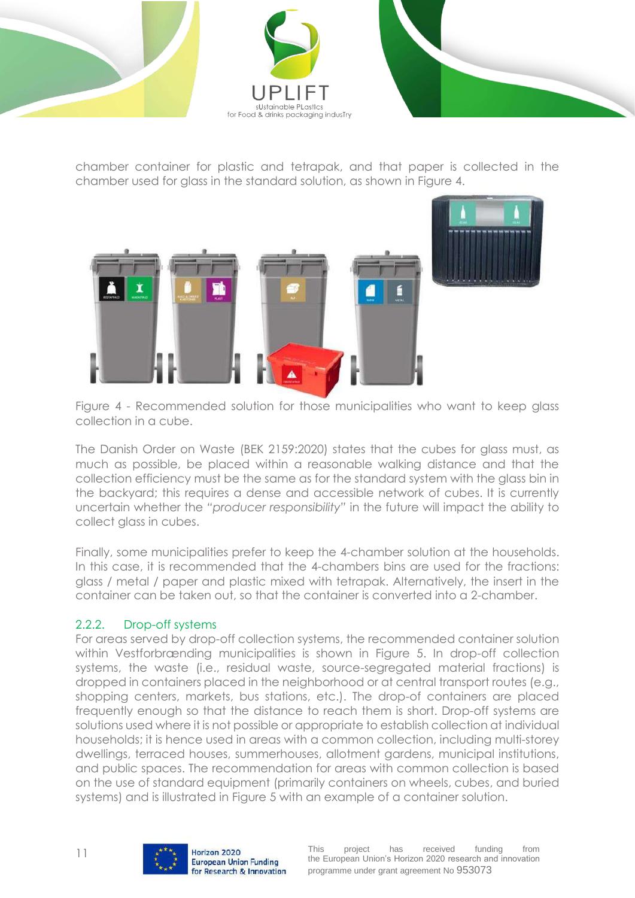



chamber container for plastic and tetrapak, and that paper is collected in the chamber used for glass in the standard solution, as shown in [Figure 4.](#page-10-1)



<span id="page-10-1"></span>Figure 4 - Recommended solution for those municipalities who want to keep glass collection in a cube.

The Danish Order on Waste (BEK 2159:2020) states that the cubes for glass must, as much as possible, be placed within a reasonable walking distance and that the collection efficiency must be the same as for the standard system with the glass bin in the backyard; this requires a dense and accessible network of cubes. It is currently uncertain whether the *"producer responsibility"* in the future will impact the ability to collect glass in cubes.

Finally, some municipalities prefer to keep the 4-chamber solution at the households. In this case, it is recommended that the 4-chambers bins are used for the fractions: glass / metal / paper and plastic mixed with tetrapak. Alternatively, the insert in the container can be taken out, so that the container is converted into a 2-chamber.

#### <span id="page-10-0"></span>2.2.2. Drop-off systems

For areas served by drop-off collection systems, the recommended container solution within Vestforbrænding municipalities is shown in [Figure 5.](#page-11-1) In drop-off collection systems, the waste (i.e., residual waste, source-segregated material fractions) is dropped in containers placed in the neighborhood or at central transport routes (e.g., shopping centers, markets, bus stations, etc.). The drop-of containers are placed frequently enough so that the distance to reach them is short. Drop-off systems are solutions used where it is not possible or appropriate to establish collection at individual households; it is hence used in areas with a common collection, including multi-storey dwellings, terraced houses, summerhouses, allotment gardens, municipal institutions, and public spaces. The recommendation for areas with common collection is based on the use of standard equipment (primarily containers on wheels, cubes, and buried systems) and is illustrated in [Figure 5](#page-11-1) with an example of a container solution.

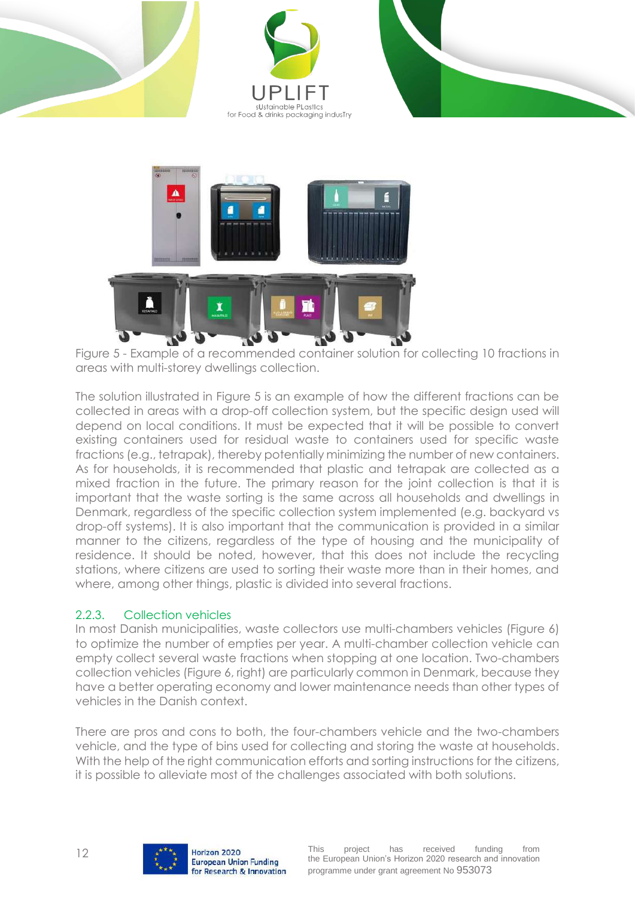







Figure 5 - Example of a recommended container solution for collecting 10 fractions in areas with multi-storey dwellings collection.

<span id="page-11-1"></span>The solution illustrated in [Figure 5](#page-11-1) is an example of how the different fractions can be collected in areas with a drop-off collection system, but the specific design used will depend on local conditions. It must be expected that it will be possible to convert existing containers used for residual waste to containers used for specific waste fractions (e.g., tetrapak), thereby potentially minimizing the number of new containers. As for households, it is recommended that plastic and tetrapak are collected as a mixed fraction in the future. The primary reason for the joint collection is that it is important that the waste sorting is the same across all households and dwellings in Denmark, regardless of the specific collection system implemented (e.g. backyard vs drop-off systems). It is also important that the communication is provided in a similar manner to the citizens, regardless of the type of housing and the municipality of residence. It should be noted, however, that this does not include the recycling stations, where citizens are used to sorting their waste more than in their homes, and where, among other things, plastic is divided into several fractions.

#### <span id="page-11-0"></span>2.2.3. Collection vehicles

In most Danish municipalities, waste collectors use multi-chambers vehicles [\(Figure 6\)](#page-12-2) to optimize the number of empties per year. A multi-chamber collection vehicle can empty collect several waste fractions when stopping at one location. Two-chambers collection vehicles [\(Figure 6,](#page-12-2) right) are particularly common in Denmark, because they have a better operating economy and lower maintenance needs than other types of vehicles in the Danish context.

There are pros and cons to both, the four-chambers vehicle and the two-chambers vehicle, and the type of bins used for collecting and storing the waste at households. With the help of the right communication efforts and sorting instructions for the citizens, it is possible to alleviate most of the challenges associated with both solutions.

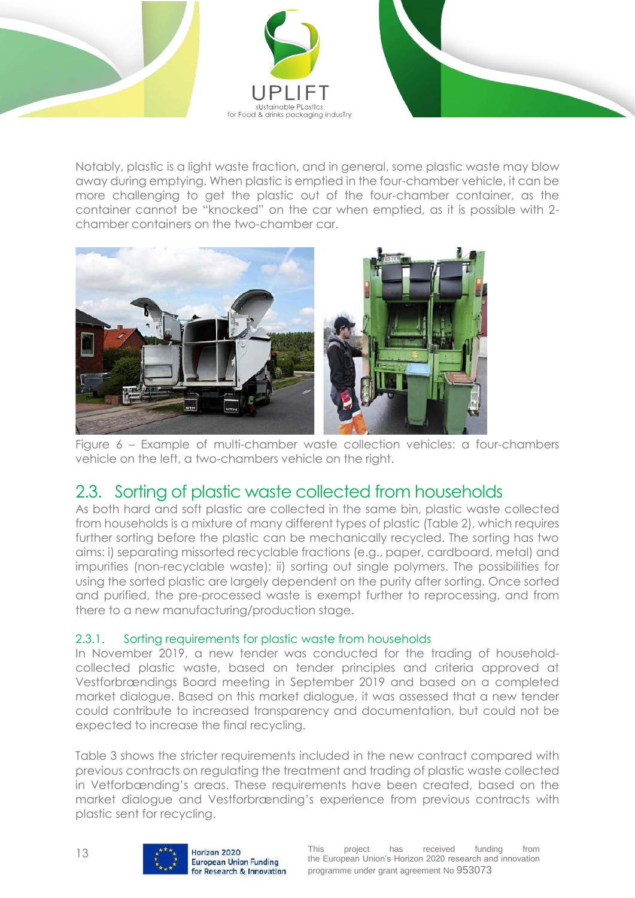



Notably, plastic is a light waste fraction, and in general, some plastic waste may blow away during emptying. When plastic is emptied in the four-chamber vehicle, it can be more challenging to get the plastic out of the four-chamber container, as the container cannot be "knocked" on the car when emptied, as it is possible with 2 chamber containers on the two-chamber car.



Figure 6 – Example of multi-chamber waste collection vehicles: a four-chambers vehicle on the left, a two-chambers vehicle on the right.

### <span id="page-12-2"></span><span id="page-12-0"></span>2.3. Sorting of plastic waste collected from households

As both hard and soft plastic are collected in the same bin, plastic waste collected from households is a mixture of many different types of plastic [\(Table 2\)](#page-9-0), which requires further sorting before the plastic can be mechanically recycled. The sorting has two aims: i) separating missorted recyclable fractions (e.g., paper, cardboard, metal) and impurities (non-recyclable waste); ii) sorting out single polymers. The possibilities for using the sorted plastic are largely dependent on the purity after sorting. Once sorted and purified, the pre-processed waste is exempt further to reprocessing, and from there to a new manufacturing/production stage.

#### <span id="page-12-1"></span>2.3.1. Sorting requirements for plastic waste from households

In November 2019, a new tender was conducted for the trading of householdcollected plastic waste, based on tender principles and criteria approved at Vestforbrændings Board meeting in September 2019 and based on a completed market dialogue. Based on this market dialogue, it was assessed that a new tender could contribute to increased transparency and documentation, but could not be expected to increase the final recycling.

[Table 3](#page-13-0) shows the stricter requirements included in the new contract compared with previous contracts on regulating the treatment and trading of plastic waste collected in Vetforbænding's areas. These requirements have been created, based on the market dialogue and Vestforbrænding's experience from previous contracts with plastic sent for recycling.

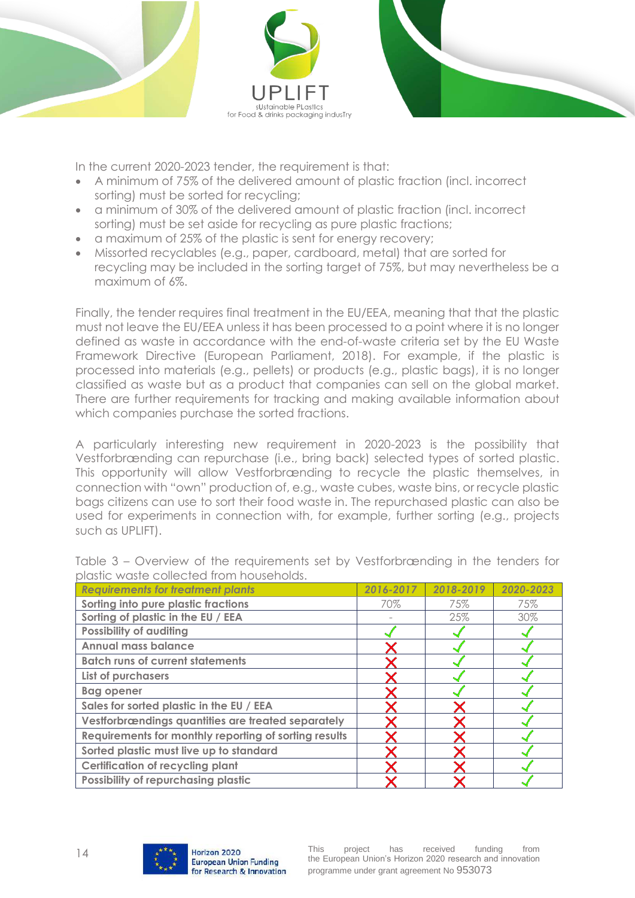



In the current 2020-2023 tender, the requirement is that:

- A minimum of 75% of the delivered amount of plastic fraction (incl. incorrect sorting) must be sorted for recycling;
- a minimum of 30% of the delivered amount of plastic fraction (incl. incorrect sorting) must be set aside for recycling as pure plastic fractions;
- a maximum of 25% of the plastic is sent for energy recovery;
- Missorted recyclables (e.g., paper, cardboard, metal) that are sorted for recycling may be included in the sorting target of 75%, but may nevertheless be a maximum of 6%.

Finally, the tender requires final treatment in the EU/EEA, meaning that that the plastic must not leave the EU/EEA unless it has been processed to a point where it is no longer defined as waste in accordance with the end-of-waste criteria set by the EU Waste Framework Directive (European Parliament, 2018). For example, if the plastic is processed into materials (e.g., pellets) or products (e.g., plastic bags), it is no longer classified as waste but as a product that companies can sell on the global market. There are further requirements for tracking and making available information about which companies purchase the sorted fractions.

A particularly interesting new requirement in 2020-2023 is the possibility that Vestforbrænding can repurchase (i.e., bring back) selected types of sorted plastic. This opportunity will allow Vestforbrænding to recycle the plastic themselves, in connection with "own" production of, e.g., waste cubes, waste bins, or recycle plastic bags citizens can use to sort their food waste in. The repurchased plastic can also be used for experiments in connection with, for example, further sorting (e.g., projects such as UPLIFT).

| <b>Requirements for treatment plants</b>              | 2016-2017 | 2018-2019 | 2020-2023 |
|-------------------------------------------------------|-----------|-----------|-----------|
| Sorting into pure plastic fractions                   | 70%       | 75%       | 75%       |
| Sorting of plastic in the EU / EEA                    |           | 25%       | 30%       |
| <b>Possibility of auditing</b>                        |           |           |           |
| <b>Annual mass balance</b>                            |           |           |           |
| <b>Batch runs of current statements</b>               |           |           |           |
| List of purchasers                                    |           |           |           |
| <b>Bag opener</b>                                     |           |           |           |
| Sales for sorted plastic in the EU / EEA              |           |           |           |
| Vestforbrændings quantities are treated separately    |           |           |           |
| Requirements for monthly reporting of sorting results |           |           |           |
| Sorted plastic must live up to standard               |           |           |           |
| <b>Certification of recycling plant</b>               |           |           |           |
| Possibility of repurchasing plastic                   |           |           |           |

<span id="page-13-0"></span>Table 3 – Overview of the requirements set by Vestforbrænding in the tenders for plastic waste collected from households.

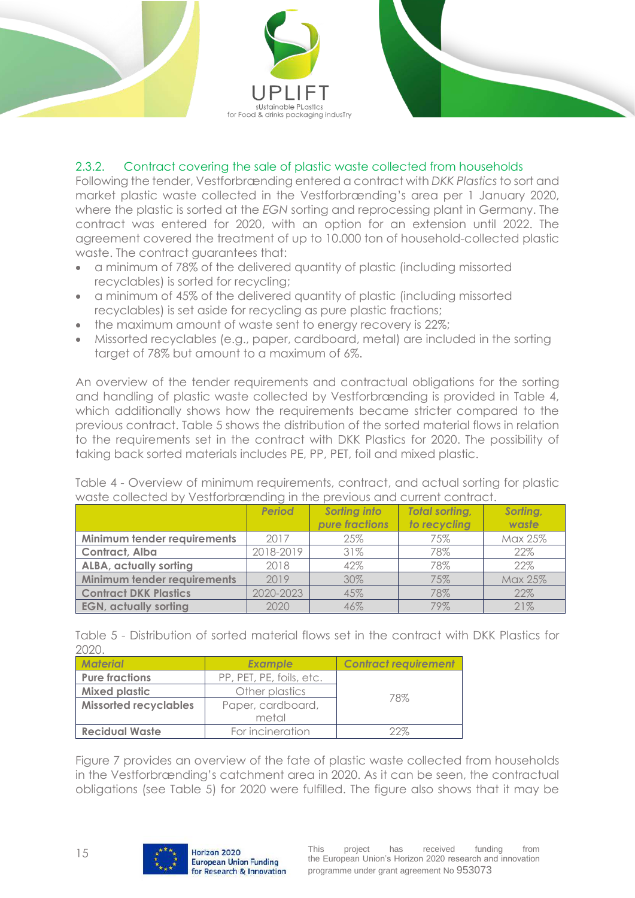



#### <span id="page-14-0"></span>2.3.2. Contract covering the sale of plastic waste collected from households

Following the tender, Vestforbrænding entered a contract with *DKK Plastics* to sort and market plastic waste collected in the Vestforbrænding's area per 1 January 2020, where the plastic is sorted at the *EGN* sorting and reprocessing plant in Germany. The contract was entered for 2020, with an option for an extension until 2022. The agreement covered the treatment of up to 10.000 ton of household-collected plastic waste. The contract auarantees that:

- a minimum of 78% of the delivered quantity of plastic (including missorted recyclables) is sorted for recycling;
- a minimum of 45% of the delivered quantity of plastic (including missorted recyclables) is set aside for recycling as pure plastic fractions;
- the maximum amount of waste sent to energy recovery is 22%;
- Missorted recyclables (e.g., paper, cardboard, metal) are included in the sorting target of 78% but amount to a maximum of 6%.

An overview of the tender requirements and contractual obligations for the sorting and handling of plastic waste collected by Vestforbrænding is provided in [Table 4,](#page-14-1) which additionally shows how the requirements became stricter compared to the previous contract. [Table 5](#page-14-2) shows the distribution of the sorted material flows in relation to the requirements set in the contract with DKK Plastics for 2020. The possibility of taking back sorted materials includes PE, PP, PET, foil and mixed plastic.

| <u>MONE COILECTED DY YESHOLDI UEHUIHY IH HIE DIEMOUS UHU COILEHI COHILIUST.</u> |               |                |                       |          |
|---------------------------------------------------------------------------------|---------------|----------------|-----------------------|----------|
|                                                                                 | <b>Period</b> | Sorting into   | <b>Total sorting,</b> | Sorting, |
|                                                                                 |               | pure fractions | to recycling          | waste    |
| Minimum tender requirements                                                     | 2017          | 25%            | 75%                   | Max 25%  |
| Contract, Alba                                                                  | 2018-2019     | 31%            | 78%                   | 22%      |
| <b>ALBA, actually sorting</b>                                                   | 2018          | 42%            | 78%                   | 22%      |
| Minimum tender requirements                                                     | 2019          | 30%            | 75%                   | Max 25%  |
| <b>Contract DKK Plastics</b>                                                    | 2020-2023     | 45%            | 78%                   | 22%      |
| <b>EGN, actually sorting</b>                                                    | 2020          | 46%            | 79%                   | 21%      |

<span id="page-14-1"></span>Table 4 - Overview of minimum requirements, contract, and actual sorting for plastic waste collected by Vestforbrænding in the previous and current contract.

<span id="page-14-2"></span>Table 5 - Distribution of sorted material flows set in the contract with DKK Plastics for 2020.

| <b>Material</b>              | <b>Example</b>           | <b>Contract requirement</b> |  |
|------------------------------|--------------------------|-----------------------------|--|
| <b>Pure fractions</b>        | PP, PET, PE, foils, etc. |                             |  |
| <b>Mixed plastic</b>         | Other plastics           | 78%                         |  |
| <b>Missorted recyclables</b> | Paper, cardboard,        |                             |  |
|                              | metal                    |                             |  |
| <b>Recidual Waste</b>        | For incineration         | つつヅ                         |  |

[Figure 7](#page-15-2) provides an overview of the fate of plastic waste collected from households in the Vestforbrænding's catchment area in 2020. As it can be seen, the contractual obligations (see [Table 5\)](#page-14-2) for 2020 were fulfilled. The figure also shows that it may be

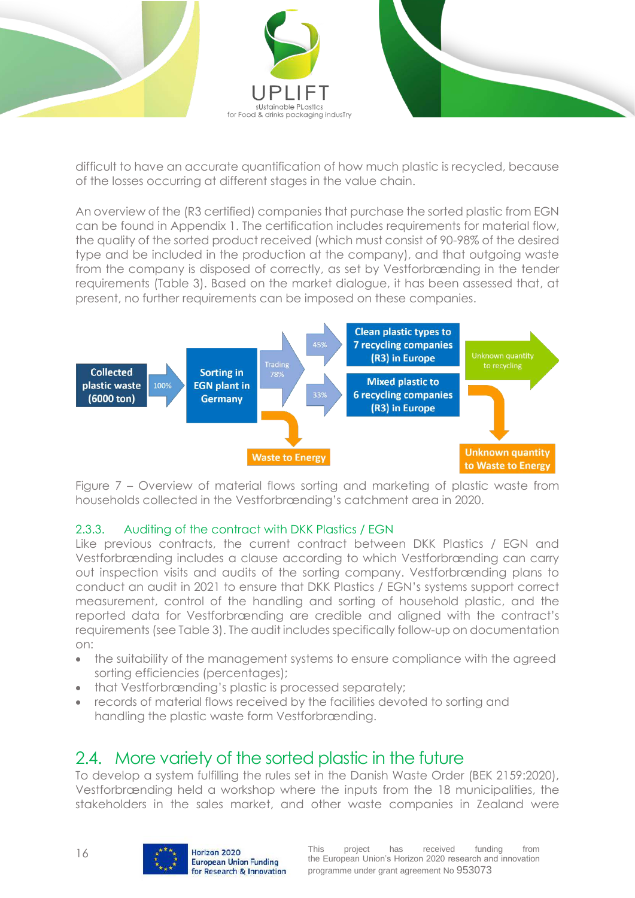

difficult to have an accurate quantification of how much plastic is recycled, because of the losses occurring at different stages in the value chain.

An overview of the (R3 certified) companies that purchase the sorted plastic from EGN can be found in Appendix 1. The certification includes requirements for material flow, the quality of the sorted product received (which must consist of 90-98% of the desired type and be included in the production at the company), and that outgoing waste from the company is disposed of correctly, as set by Vestforbrænding in the tender requirements [\(Table 3\)](#page-13-0). Based on the market dialogue, it has been assessed that, at present, no further requirements can be imposed on these companies.



<span id="page-15-2"></span>Figure 7 – Overview of material flows sorting and marketing of plastic waste from households collected in the Vestforbrænding's catchment area in 2020.

#### <span id="page-15-0"></span>2.3.3. Auditing of the contract with DKK Plastics / EGN

Like previous contracts, the current contract between DKK Plastics / EGN and Vestforbrænding includes a clause according to which Vestforbrænding can carry out inspection visits and audits of the sorting company. Vestforbrænding plans to conduct an audit in 2021 to ensure that DKK Plastics / EGN's systems support correct measurement, control of the handling and sorting of household plastic, and the reported data for Vestforbrænding are credible and aligned with the contract's requirements (se[e Table 3\)](#page-13-0). The audit includes specifically follow-up on documentation on:

- the suitability of the management systems to ensure compliance with the agreed sorting efficiencies (percentages);
- that Vestforbrænding's plastic is processed separately;
- records of material flows received by the facilities devoted to sorting and handling the plastic waste form Vestforbrænding.

### <span id="page-15-1"></span>2.4. More variety of the sorted plastic in the future

To develop a system fulfilling the rules set in the Danish Waste Order (BEK 2159:2020), Vestforbrænding held a workshop where the inputs from the 18 municipalities, the stakeholders in the sales market, and other waste companies in Zealand were

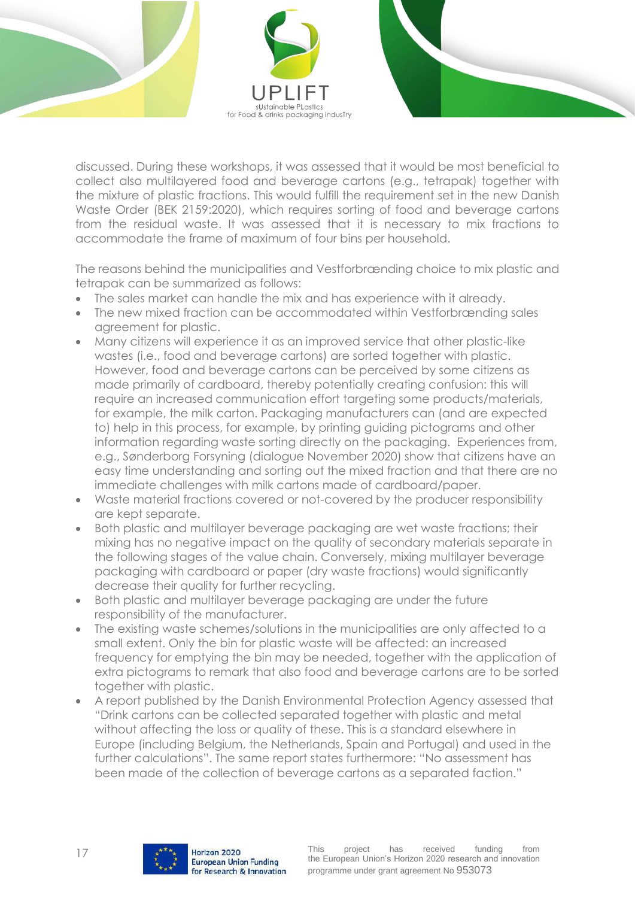

discussed. During these workshops, it was assessed that it would be most beneficial to collect also multilayered food and beverage cartons (e.g., tetrapak) together with the mixture of plastic fractions. This would fulfill the requirement set in the new Danish Waste Order (BEK 2159:2020), which requires sorting of food and beverage cartons from the residual waste. It was assessed that it is necessary to mix fractions to accommodate the frame of maximum of four bins per household.

The reasons behind the municipalities and Vestforbrænding choice to mix plastic and tetrapak can be summarized as follows:

- The sales market can handle the mix and has experience with it already.
- The new mixed fraction can be accommodated within Vestforbrænding sales agreement for plastic.
- Many citizens will experience it as an improved service that other plastic-like wastes (i.e., food and beverage cartons) are sorted together with plastic. However, food and beverage cartons can be perceived by some citizens as made primarily of cardboard, thereby potentially creating confusion: this will require an increased communication effort targeting some products/materials, for example, the milk carton. Packaging manufacturers can (and are expected to) help in this process, for example, by printing guiding pictograms and other information regarding waste sorting directly on the packaging. Experiences from, e.g., Sønderborg Forsyning (dialogue November 2020) show that citizens have an easy time understanding and sorting out the mixed fraction and that there are no immediate challenges with milk cartons made of cardboard/paper.
- Waste material fractions covered or not-covered by the producer responsibility are kept separate.
- Both plastic and multilayer beverage packaging are wet waste fractions; their mixing has no negative impact on the quality of secondary materials separate in the following stages of the value chain. Conversely, mixing multilayer beverage packaging with cardboard or paper (dry waste fractions) would significantly decrease their quality for further recycling.
- Both plastic and multilayer beverage packaging are under the future responsibility of the manufacturer.
- The existing waste schemes/solutions in the municipalities are only affected to a small extent. Only the bin for plastic waste will be affected: an increased frequency for emptying the bin may be needed, together with the application of extra pictograms to remark that also food and beverage cartons are to be sorted together with plastic.
- A report published by the Danish Environmental Protection Agency assessed that "Drink cartons can be collected separated together with plastic and metal without affecting the loss or quality of these. This is a standard elsewhere in Europe (including Belgium, the Netherlands, Spain and Portugal) and used in the further calculations". The same report states furthermore: "No assessment has been made of the collection of beverage cartons as a separated faction."

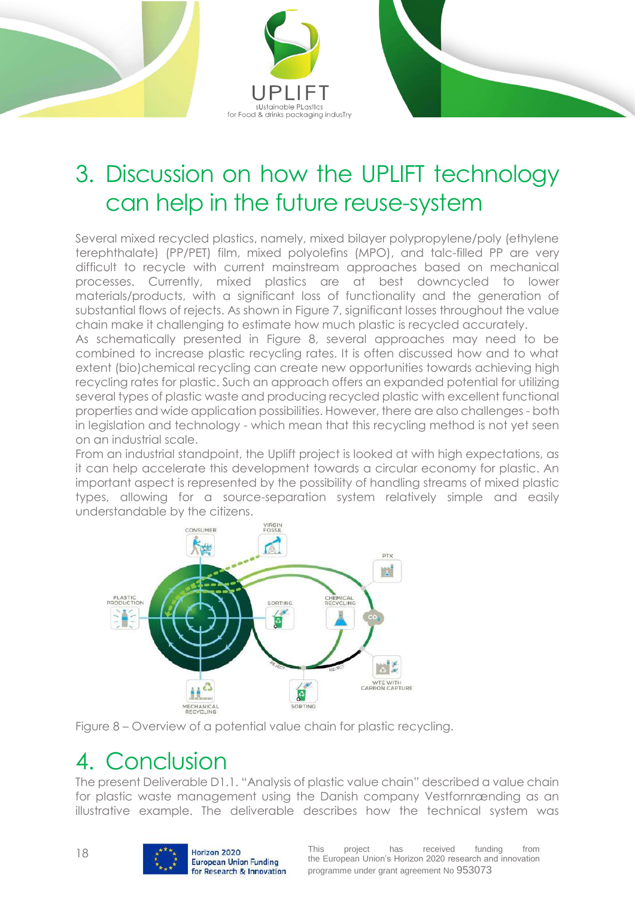



## <span id="page-17-0"></span>3. Discussion on how the UPLIFT technology can help in the future reuse-system

Several mixed recycled plastics, namely, mixed bilayer polypropylene/poly (ethylene terephthalate) (PP/PET) film, mixed polyolefins (MPO), and talc-filled PP are very difficult to recycle with current mainstream approaches based on mechanical processes. Currently, mixed plastics are at best downcycled to lower materials/products, with a significant loss of functionality and the generation of substantial flows of rejects. As shown in [Figure 7,](#page-15-2) significant losses throughout the value chain make it challenging to estimate how much plastic is recycled accurately.

As schematically presented in [Figure 8,](#page-17-2) several approaches may need to be combined to increase plastic recycling rates. It is often discussed how and to what extent (bio)chemical recycling can create new opportunities towards achieving high recycling rates for plastic. Such an approach offers an expanded potential for utilizing several types of plastic waste and producing recycled plastic with excellent functional properties and wide application possibilities. However, there are also challenges - both in legislation and technology - which mean that this recycling method is not yet seen on an industrial scale.

From an industrial standpoint, the Uplift project is looked at with high expectations, as it can help accelerate this development towards a circular economy for plastic. An important aspect is represented by the possibility of handling streams of mixed plastic types, allowing for a source-separation system relatively simple and easily understandable by the citizens.



<span id="page-17-2"></span>

### <span id="page-17-1"></span>4. Conclusion

The present Deliverable D1.1. "Analysis of plastic value chain" described a value chain for plastic waste management using the Danish company Vestfornrænding as an illustrative example. The deliverable describes how the technical system was

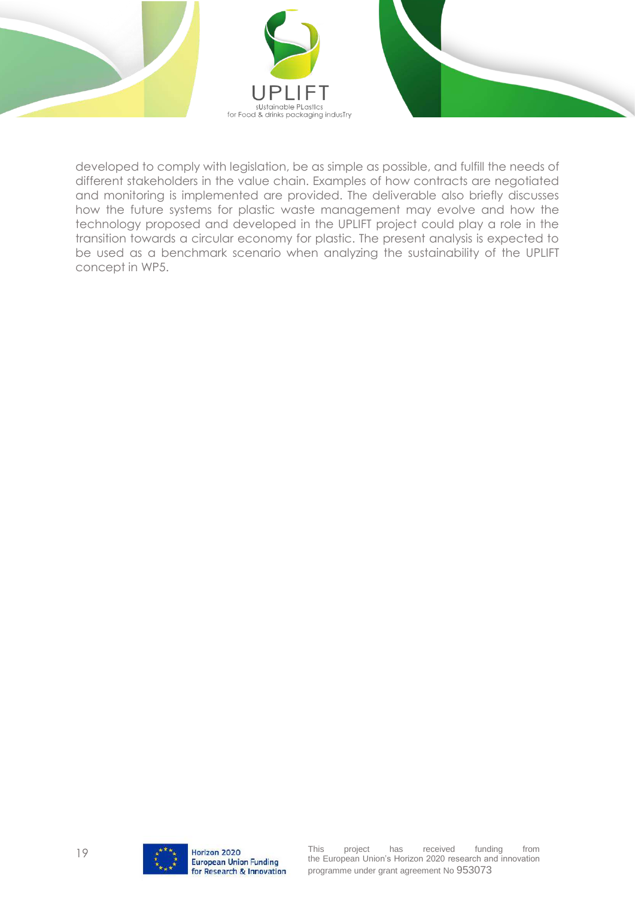

developed to comply with legislation, be as simple as possible, and fulfill the needs of different stakeholders in the value chain. Examples of how contracts are negotiated and monitoring is implemented are provided. The deliverable also briefly discusses how the future systems for plastic waste management may evolve and how the technology proposed and developed in the UPLIFT project could play a role in the transition towards a circular economy for plastic. The present analysis is expected to be used as a benchmark scenario when analyzing the sustainability of the UPLIFT concept in WP5.

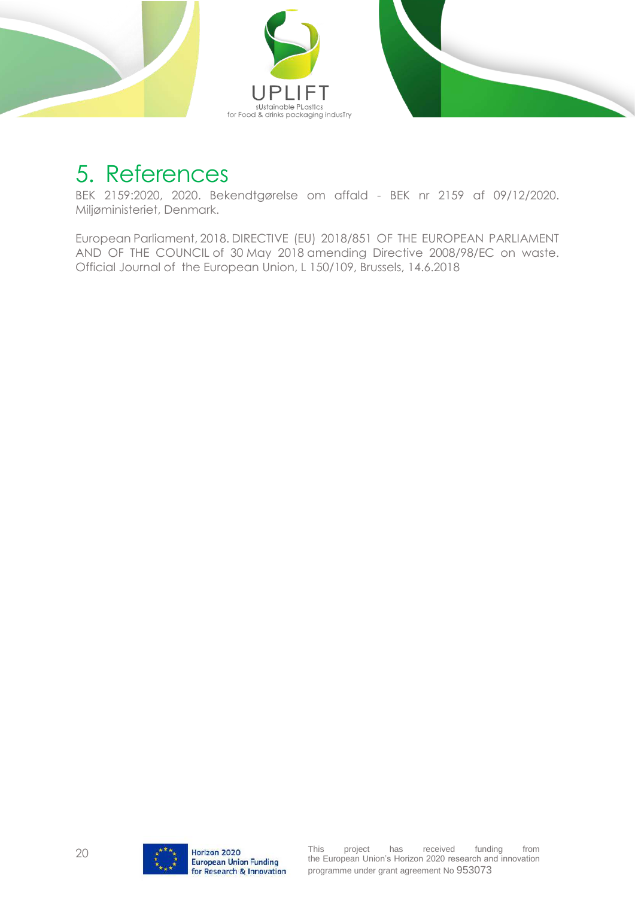

### <span id="page-19-0"></span>5. References

BEK 2159:2020, 2020. Bekendtgørelse om affald - BEK nr 2159 af 09/12/2020. Miljøministeriet, Denmark.

European Parliament, 2018. DIRECTIVE (EU) 2018/851 OF THE EUROPEAN PARLIAMENT AND OF THE COUNCIL of 30 May 2018 amending Directive 2008/98/EC on waste. Official Journal of the European Union, L 150/109, Brussels, 14.6.2018